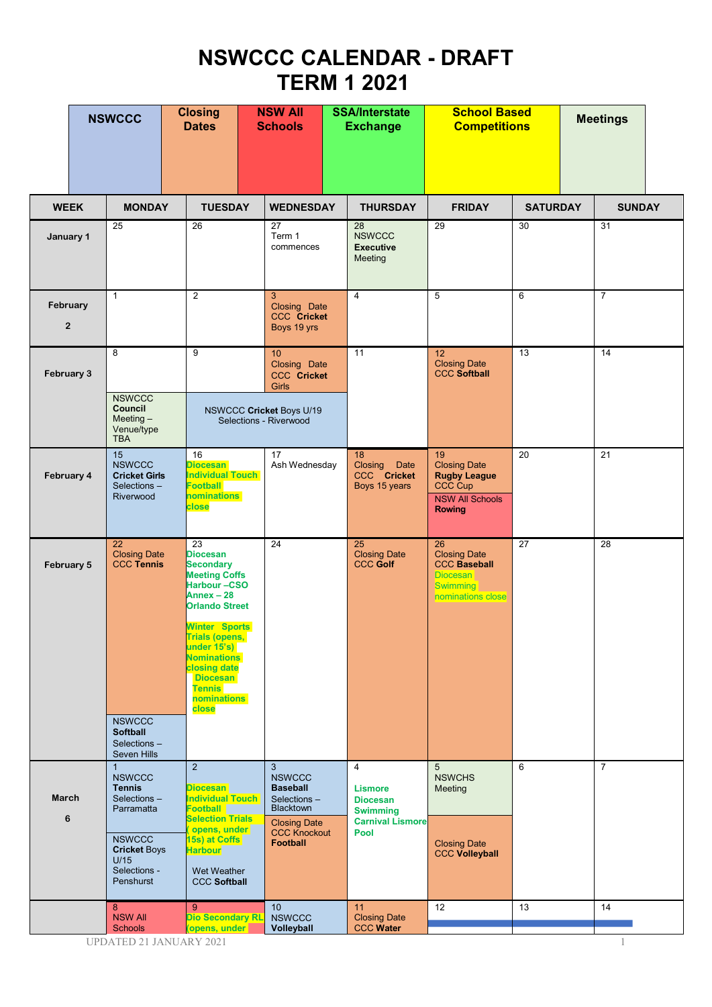## **NSWCCC CALENDAR - DRAFT TERM 1 2021**

|                            | <b>NSWCCC</b>                                                                                                                                            | <b>Closing</b><br><b>Dates</b>                                                                                                                                                                                                                                                             | <b>NSW All</b><br><b>Schools</b>                                                                                                           | <b>SSA/Interstate</b><br><b>Exchange</b>                                                                  | <b>School Based</b><br><b>Competitions</b>                                                                    |                 | <b>Meetings</b> |  |
|----------------------------|----------------------------------------------------------------------------------------------------------------------------------------------------------|--------------------------------------------------------------------------------------------------------------------------------------------------------------------------------------------------------------------------------------------------------------------------------------------|--------------------------------------------------------------------------------------------------------------------------------------------|-----------------------------------------------------------------------------------------------------------|---------------------------------------------------------------------------------------------------------------|-----------------|-----------------|--|
| <b>WEEK</b>                | <b>MONDAY</b>                                                                                                                                            | <b>TUESDAY</b>                                                                                                                                                                                                                                                                             | <b>WEDNESDAY</b>                                                                                                                           | <b>THURSDAY</b>                                                                                           | <b>FRIDAY</b>                                                                                                 | <b>SATURDAY</b> | <b>SUNDAY</b>   |  |
| January 1                  | 25                                                                                                                                                       | 26                                                                                                                                                                                                                                                                                         | 27<br>Term 1<br>commences                                                                                                                  | 28<br><b>NSWCCC</b><br><b>Executive</b><br>Meeting                                                        | 29                                                                                                            | 30              | 31              |  |
| February<br>$\overline{2}$ | $\mathbf{1}$                                                                                                                                             | $\overline{2}$                                                                                                                                                                                                                                                                             | 3 <sup>1</sup><br>Closing Date<br><b>CCC</b> Cricket<br>Boys 19 yrs                                                                        | $\overline{4}$                                                                                            | 5                                                                                                             | 6               | $\overline{7}$  |  |
| February 3                 | 8                                                                                                                                                        | $\overline{9}$                                                                                                                                                                                                                                                                             | 10<br>Closing Date<br><b>CCC Cricket</b><br><b>Girls</b>                                                                                   | 11                                                                                                        | 12 <sup>°</sup><br><b>Closing Date</b><br><b>CCC Softball</b>                                                 | 13              | 14              |  |
|                            | <b>NSWCCC</b><br>Council<br>Meeting $-$<br>Venue/type<br><b>TBA</b>                                                                                      |                                                                                                                                                                                                                                                                                            | NSWCCC Cricket Boys U/19<br>Selections - Riverwood                                                                                         |                                                                                                           |                                                                                                               |                 |                 |  |
| February 4                 | 15<br><b>NSWCCC</b><br><b>Cricket Girls</b><br>Selections -<br>Riverwood                                                                                 | 16<br><b>Diocesan</b><br><b>Individual Touch</b><br><b>Football</b><br><b>nominations</b><br>close                                                                                                                                                                                         | 17<br>Ash Wednesday                                                                                                                        | 18<br>Closing<br>Date<br>CCC Cricket<br>Boys 15 years                                                     | 19<br><b>Closing Date</b><br><b>Rugby League</b><br><b>CCC Cup</b><br><b>NSW All Schools</b><br><b>Rowing</b> | 20              | 21              |  |
| February 5                 | 22<br><b>Closing Date</b><br><b>CCC Tennis</b>                                                                                                           | 23<br><b>Diocesan</b><br><b>Secondary</b><br><b>Meeting Coffs</b><br>Harbour-CSO<br>Annex $-28$<br><b>Orlando Street</b><br><b>Winter Sports</b><br><b>Trials (opens,</b><br>under 15's)<br><b>Nominations</b><br>closing date<br><b>Diocesan</b><br><b>Tennis</b><br>nominations<br>close | 24                                                                                                                                         | 25<br><b>Closing Date</b><br><b>CCC Golf</b>                                                              | 26<br><b>Closing Date</b><br><b>CCC Baseball</b><br><b>Diocesan</b><br><b>Swimming</b><br>nominations close   | 27              | 28              |  |
|                            | <b>NSWCCC</b><br><b>Softball</b><br>Selections-<br>Seven Hills                                                                                           |                                                                                                                                                                                                                                                                                            |                                                                                                                                            |                                                                                                           |                                                                                                               |                 |                 |  |
| March<br>6                 | $\mathbf{1}$<br><b>NSWCCC</b><br><b>Tennis</b><br>Selections-<br>Parramatta<br><b>NSWCCC</b><br><b>Cricket Boys</b><br>U/15<br>Selections -<br>Penshurst | $\overline{2}$<br><b>Diocesan</b><br><b>Individual Touch</b><br><b>Football</b><br><b>Selection Trials</b><br>opens, under<br>15s) at Coffs<br><b>Harbour</b><br>Wet Weather<br><b>CCC Softball</b>                                                                                        | 3<br><b>NSWCCC</b><br><b>Baseball</b><br>Selections -<br><b>Blacktown</b><br><b>Closing Date</b><br><b>CCC Knockout</b><br><b>Football</b> | $\overline{4}$<br><b>Lismore</b><br><b>Diocesan</b><br><b>Swimming</b><br><b>Carnival Lismore</b><br>Pool | 5<br><b>NSWCHS</b><br>Meeting<br><b>Closing Date</b><br><b>CCC Volleyball</b>                                 | 6               | $\overline{7}$  |  |
|                            | 8<br><b>NSW All</b><br><b>Schools</b>                                                                                                                    | $9^{\circ}$<br><b>Dio Secondary RL</b><br>(opens, under<br>UPDATED 21 JANUARY 2021                                                                                                                                                                                                         | 10<br><b>NSWCCC</b><br>Volleyball                                                                                                          | 11<br><b>Closing Date</b><br><b>CCC Water</b>                                                             | 12 <sup>°</sup>                                                                                               | 13              | 14              |  |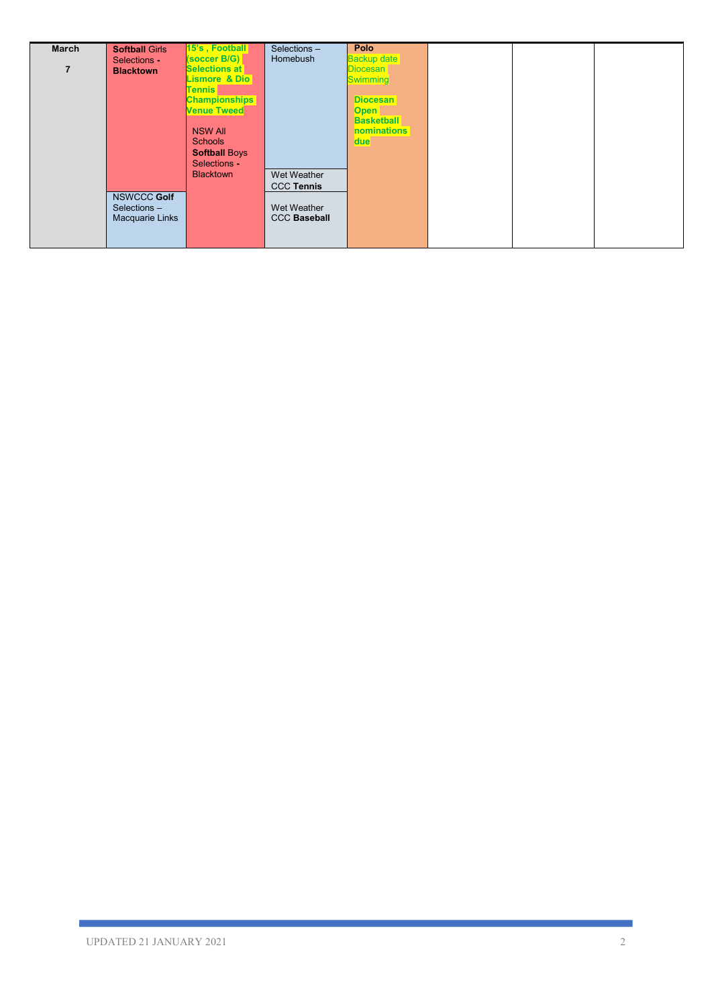| March | <b>Softball Girls</b>                          | 15's, Football<br>(soccer B/G)             | Selections-<br>Homebush            | Polo<br><b>Backup date</b>         |  |  |
|-------|------------------------------------------------|--------------------------------------------|------------------------------------|------------------------------------|--|--|
| 7     | Selections -<br><b>Blacktown</b>               | <b>Selections at</b><br>Lismore & Dio      |                                    | <b>Diocesan</b><br><b>Swimming</b> |  |  |
|       |                                                | Tennis I                                   |                                    |                                    |  |  |
|       |                                                | <b>Championships</b><br><b>Venue Tweed</b> |                                    | <b>Diocesan</b><br><b>Open</b>     |  |  |
|       |                                                | <b>NSW All</b>                             |                                    | <b>Basketball</b><br>nominations   |  |  |
|       |                                                | <b>Schools</b>                             |                                    | due                                |  |  |
|       |                                                | <b>Softball Boys</b><br>Selections -       |                                    |                                    |  |  |
|       |                                                | <b>Blacktown</b>                           | Wet Weather<br><b>CCC Tennis</b>   |                                    |  |  |
|       | NSWCCC Golf<br>Selections -<br>Macquarie Links |                                            | Wet Weather<br><b>CCC Baseball</b> |                                    |  |  |
|       |                                                |                                            |                                    |                                    |  |  |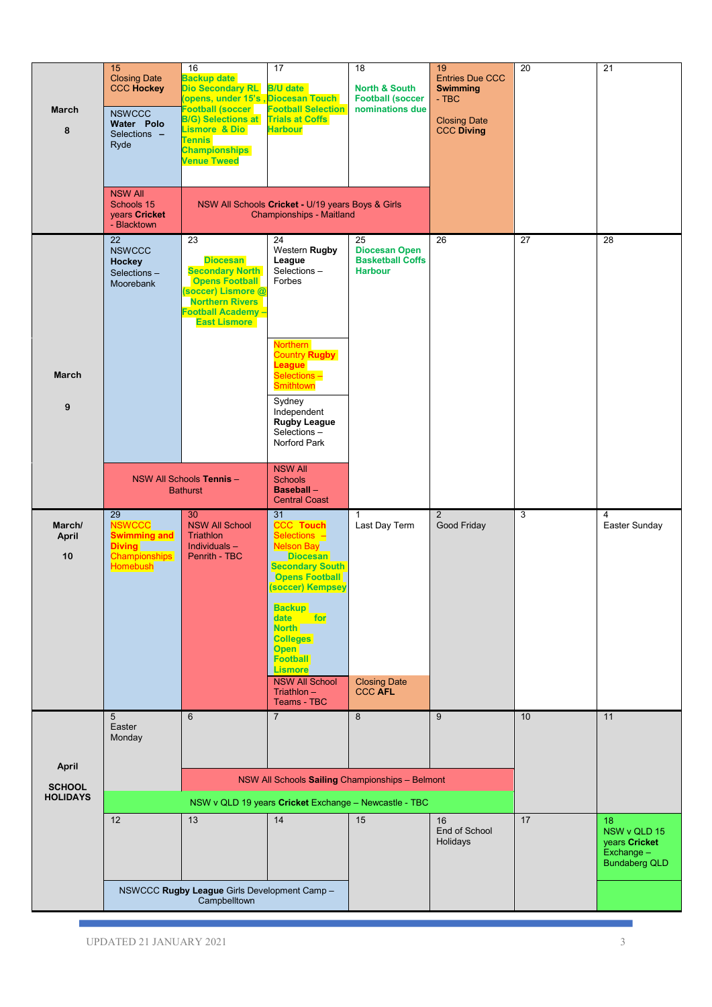|                 | 15                                         | 16                                                                    | 17                                                                                   | 18                                         | 19                                        | 20 | 21                            |
|-----------------|--------------------------------------------|-----------------------------------------------------------------------|--------------------------------------------------------------------------------------|--------------------------------------------|-------------------------------------------|----|-------------------------------|
|                 | <b>Closing Date</b><br><b>CCC Hockey</b>   | <b>Backup date</b><br><b>Dio Secondary RL</b>                         | <b>B/U</b> date                                                                      | <b>North &amp; South</b>                   | <b>Entries Due CCC</b><br><b>Swimming</b> |    |                               |
| March           | <b>NSWCCC</b>                              | Opens, under 15's Diocesan Touch<br><b>Football (soccer</b>           | <b>Football Selection</b>                                                            | <b>Football (soccer</b><br>nominations due | $-$ TBC                                   |    |                               |
| 8               | Water Polo<br>Selections -                 | <b>B/G) Selections at Trials at Coffs</b><br><b>Lismore &amp; Dio</b> | <b>Harbour</b>                                                                       |                                            | <b>Closing Date</b><br><b>CCC Diving</b>  |    |                               |
|                 | Ryde                                       | <b>Tennis</b><br><b>Championships</b>                                 |                                                                                      |                                            |                                           |    |                               |
|                 |                                            | <b>Venue Tweed</b>                                                    |                                                                                      |                                            |                                           |    |                               |
|                 | <b>NSW All</b>                             |                                                                       |                                                                                      |                                            |                                           |    |                               |
|                 | Schools 15<br>years Cricket<br>- Blacktown |                                                                       | NSW All Schools Cricket - U/19 years Boys & Girls<br><b>Championships - Maitland</b> |                                            |                                           |    |                               |
|                 | 22<br><b>NSWCCC</b>                        | 23                                                                    | 24<br>Western Rugby                                                                  | 25<br><b>Diocesan Open</b>                 | 26                                        | 27 | 28                            |
|                 | <b>Hockey</b><br>Selections-               | <b>Diocesan</b><br><b>Secondary North</b>                             | League<br>Selections-                                                                | <b>Basketball Coffs</b><br><b>Harbour</b>  |                                           |    |                               |
|                 | Moorebank                                  | <b>Opens Football</b><br>(soccer) Lismore @                           | Forbes                                                                               |                                            |                                           |    |                               |
|                 |                                            | <b>Northern Rivers</b><br>Football Academy -                          |                                                                                      |                                            |                                           |    |                               |
|                 |                                            | <b>East Lismore</b>                                                   |                                                                                      |                                            |                                           |    |                               |
|                 |                                            |                                                                       | <b>Northern</b><br><b>Country Rugby</b><br>League                                    |                                            |                                           |    |                               |
| <b>March</b>    |                                            |                                                                       | Selections -<br><b>Smithtown</b>                                                     |                                            |                                           |    |                               |
| 9               |                                            |                                                                       | Sydney<br>Independent                                                                |                                            |                                           |    |                               |
|                 |                                            |                                                                       | <b>Rugby League</b><br>Selections-                                                   |                                            |                                           |    |                               |
|                 |                                            |                                                                       | Norford Park                                                                         |                                            |                                           |    |                               |
|                 |                                            | NSW All Schools Tennis -                                              | <b>NSW All</b><br><b>Schools</b>                                                     |                                            |                                           |    |                               |
|                 |                                            | <b>Bathurst</b>                                                       | <b>Baseball-</b><br><b>Central Coast</b>                                             |                                            |                                           |    |                               |
| March/          | 29<br><b>NSWCCC</b>                        | 30<br><b>NSW All School</b>                                           | 31<br><b>CCC Touch</b>                                                               | 1<br>Last Day Term                         | $\overline{2}$<br>Good Friday             | 3  | 4<br>Easter Sunday            |
| April           | <b>Swimming and</b><br><b>Diving</b>       | <b>Triathlon</b><br>Individuals $-$                                   | Selections -<br><b>Nelson Bay</b>                                                    |                                            |                                           |    |                               |
| 10              | Championships<br>Homebush                  | Penrith - TBC                                                         | <b>Diocesan</b><br><b>Secondary South</b>                                            |                                            |                                           |    |                               |
|                 |                                            |                                                                       | <b>Opens Football</b><br>(soccer) Kempsey                                            |                                            |                                           |    |                               |
|                 |                                            |                                                                       | <b>Backup</b>                                                                        |                                            |                                           |    |                               |
|                 |                                            |                                                                       | date<br>for<br><b>North</b>                                                          |                                            |                                           |    |                               |
|                 |                                            |                                                                       | <b>Colleges</b><br><b>Open</b>                                                       |                                            |                                           |    |                               |
|                 |                                            |                                                                       | <b>Football</b><br><b>Lismore</b>                                                    |                                            |                                           |    |                               |
|                 |                                            |                                                                       | <b>NSW All School</b><br>$Triathlon -$<br><b>Teams - TBC</b>                         | <b>Closing Date</b><br><b>CCC AFL</b>      |                                           |    |                               |
|                 | 5<br>Easter                                | 6                                                                     | $\overline{7}$                                                                       | 8                                          | 9                                         | 10 | 11                            |
|                 | Monday                                     |                                                                       |                                                                                      |                                            |                                           |    |                               |
| April           |                                            |                                                                       |                                                                                      |                                            |                                           |    |                               |
| <b>SCHOOL</b>   |                                            |                                                                       | NSW All Schools Sailing Championships - Belmont                                      |                                            |                                           |    |                               |
| <b>HOLIDAYS</b> |                                            |                                                                       | NSW v QLD 19 years Cricket Exchange - Newcastle - TBC                                |                                            |                                           |    |                               |
|                 | 12                                         | 13                                                                    | 14                                                                                   | 15                                         | 16<br>End of School                       | 17 | 18<br>NSW v QLD 15            |
|                 |                                            |                                                                       |                                                                                      |                                            | Holidays                                  |    | years Cricket<br>$Exchange -$ |
|                 |                                            |                                                                       |                                                                                      |                                            |                                           |    | <b>Bundaberg QLD</b>          |
|                 |                                            | NSWCCC Rugby League Girls Development Camp -<br>Campbelltown          |                                                                                      |                                            |                                           |    |                               |
|                 |                                            |                                                                       |                                                                                      |                                            |                                           |    |                               |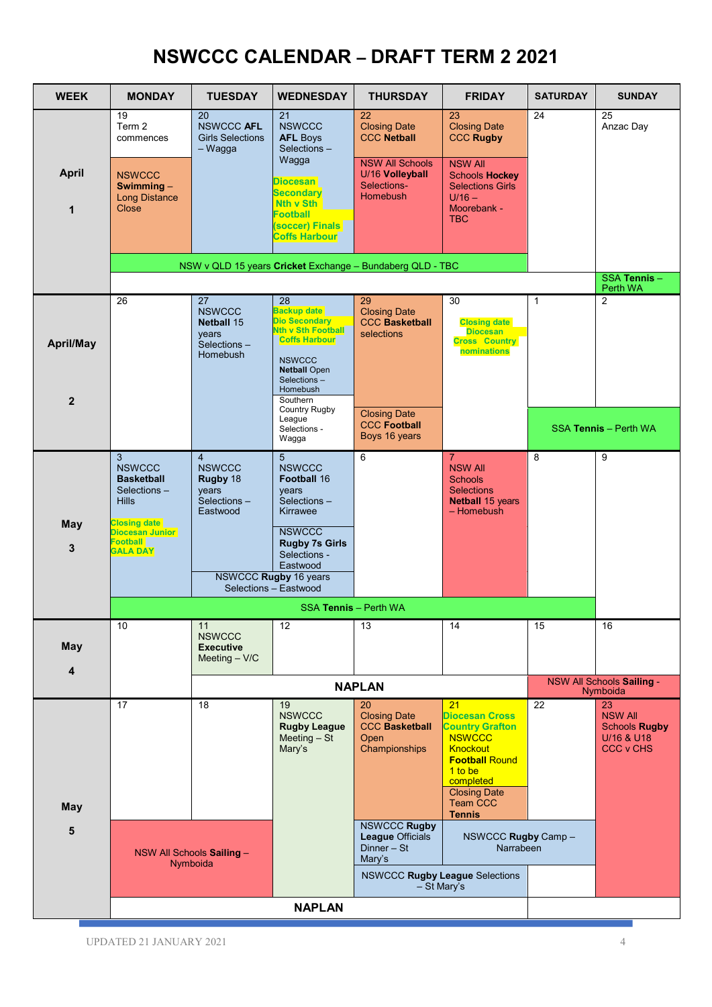## **NSWCCC CALENDAR – DRAFT TERM 2 2021**

| <b>WEEK</b>               | <b>MONDAY</b>                                                                                                                                                            | <b>TUESDAY</b>                                                                      | <b>WEDNESDAY</b>                                                                                                                                                                                             | <b>THURSDAY</b>                                                                                      | <b>FRIDAY</b>                                                                                                                                                                                  | <b>SATURDAY</b> | <b>SUNDAY</b>                                                                  |
|---------------------------|--------------------------------------------------------------------------------------------------------------------------------------------------------------------------|-------------------------------------------------------------------------------------|--------------------------------------------------------------------------------------------------------------------------------------------------------------------------------------------------------------|------------------------------------------------------------------------------------------------------|------------------------------------------------------------------------------------------------------------------------------------------------------------------------------------------------|-----------------|--------------------------------------------------------------------------------|
|                           | 19<br>Term 2<br>commences                                                                                                                                                | 20<br><b>NSWCCC AFL</b><br><b>Girls Selections</b><br>$-Wagga$                      | 21<br><b>NSWCCC</b><br><b>AFL Boys</b><br>Selections-                                                                                                                                                        | 22<br><b>Closing Date</b><br><b>CCC Netball</b>                                                      | 23<br><b>Closing Date</b><br><b>CCC Rugby</b>                                                                                                                                                  | 24              | 25<br>Anzac Day                                                                |
| <b>April</b><br>1         | <b>NSWCCC</b><br>Swimming $-$<br><b>Long Distance</b><br>Close                                                                                                           |                                                                                     | Wagga<br><b>Diocesan</b><br><b>Secondary</b><br>Nth v Sth<br><b>Football</b><br>(soccer) Finals<br><b>Coffs Harbour</b>                                                                                      | <b>NSW All Schools</b><br>U/16 Volleyball<br>Selections-<br><b>Homebush</b>                          | <b>NSW All</b><br><b>Schools Hockey</b><br><b>Selections Girls</b><br>$U/16 -$<br>Moorebank -<br><b>TBC</b>                                                                                    |                 |                                                                                |
|                           |                                                                                                                                                                          |                                                                                     |                                                                                                                                                                                                              | NSW v QLD 15 years Cricket Exchange - Bundaberg QLD - TBC                                            |                                                                                                                                                                                                |                 |                                                                                |
|                           |                                                                                                                                                                          |                                                                                     |                                                                                                                                                                                                              |                                                                                                      |                                                                                                                                                                                                |                 | SSA Tennis-<br>Perth WA                                                        |
| April/May<br>$\mathbf{2}$ | 26                                                                                                                                                                       | 27<br><b>NSWCCC</b><br><b>Netball 15</b><br>years<br>Selections-<br><b>Homebush</b> | 28<br><b>Backup date</b><br><b>Dio Secondary</b><br><b>Nth v Sth Football</b><br><b>Coffs Harbour</b><br><b>NSWCCC</b><br><b>Netball Open</b><br>Selections-<br>Homebush<br>Southern<br><b>Country Rugby</b> | 29<br><b>Closing Date</b><br><b>CCC Basketball</b><br>selections                                     | 30<br><b>Closing date</b><br><b>Diocesan</b><br><b>Cross Country</b><br>nominations                                                                                                            | $\mathbf{1}$    | $\overline{2}$                                                                 |
|                           |                                                                                                                                                                          |                                                                                     | League<br>Selections -<br>Wagga                                                                                                                                                                              | <b>Closing Date</b><br><b>CCC Football</b><br>Boys 16 years                                          |                                                                                                                                                                                                |                 | SSA Tennis - Perth WA                                                          |
| <b>May</b><br>3           | $\mathbf{3}$<br><b>NSWCCC</b><br><b>Basketball</b><br>Selections-<br><b>Hills</b><br><b>Closing date</b><br><b>Diocesan Junior</b><br><b>Football</b><br><b>GALA DAY</b> | $\overline{4}$<br><b>NSWCCC</b><br>Rugby 18<br>years<br>Selections-<br>Eastwood     | 5 <sup>5</sup><br><b>NSWCCC</b><br><b>Football 16</b><br>years<br>Selections-<br>Kirrawee<br><b>NSWCCC</b><br><b>Rugby 7s Girls</b><br>Selections -<br>Eastwood                                              | 6                                                                                                    | $\overline{7}$<br><b>NSW All</b><br><b>Schools</b><br><b>Selections</b><br><b>Netball 15 years</b><br>- Homebush                                                                               | 8               | 9                                                                              |
|                           |                                                                                                                                                                          |                                                                                     | NSWCCC Rugby 16 years<br>Selections - Eastwood                                                                                                                                                               |                                                                                                      |                                                                                                                                                                                                |                 |                                                                                |
|                           |                                                                                                                                                                          |                                                                                     | SSA Tennis - Perth WA                                                                                                                                                                                        |                                                                                                      |                                                                                                                                                                                                |                 |                                                                                |
| <b>May</b><br>4           | 10                                                                                                                                                                       | 11<br><b>NSWCCC</b><br><b>Executive</b><br>Meeting $-$ V/C                          | 12                                                                                                                                                                                                           | 13                                                                                                   | 14                                                                                                                                                                                             | 15              | 16                                                                             |
|                           |                                                                                                                                                                          |                                                                                     |                                                                                                                                                                                                              | <b>NAPLAN</b>                                                                                        |                                                                                                                                                                                                |                 | NSW All Schools Sailing -<br>Nymboida                                          |
| <b>May</b>                | 17                                                                                                                                                                       | 18                                                                                  | 19<br><b>NSWCCC</b><br><b>Rugby League</b><br>Meeting $-$ St<br>Mary's                                                                                                                                       | 20<br><b>Closing Date</b><br><b>CCC Basketball</b><br>Open<br>Championships                          | 21<br><b>Diocesan Cross</b><br><b>Country Grafton</b><br><b>NSWCCC</b><br><b>Knockout</b><br><b>Football Round</b><br>1 to be<br>completed<br><b>Closing Date</b><br>Team CCC<br><b>Tennis</b> | 22              | 23<br><b>NSW All</b><br><b>Schools Rugby</b><br>U/16 & U18<br><b>CCC v CHS</b> |
| 5                         |                                                                                                                                                                          | NSW All Schools Sailing -<br>Nymboida                                               |                                                                                                                                                                                                              | <b>NSWCCC Rugby</b><br>League Officials<br>$Dinner - St$<br>Mary's<br>NSWCCC Rugby League Selections | NSWCCC Rugby Camp -<br>Narrabeen                                                                                                                                                               |                 |                                                                                |
|                           |                                                                                                                                                                          |                                                                                     | <b>NAPLAN</b>                                                                                                                                                                                                | - St Mary's                                                                                          |                                                                                                                                                                                                |                 |                                                                                |
|                           |                                                                                                                                                                          |                                                                                     |                                                                                                                                                                                                              |                                                                                                      |                                                                                                                                                                                                |                 |                                                                                |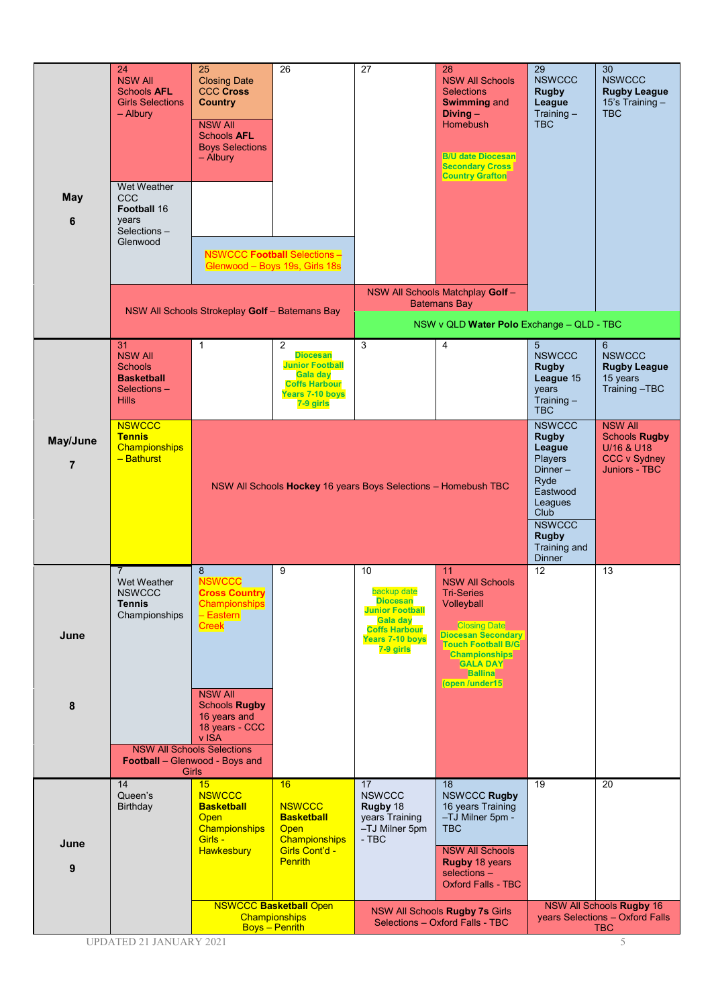| May<br>6                   | 24<br><b>NSW All</b><br><b>Schools AFL</b><br><b>Girls Selections</b><br>- Albury<br>Wet Weather<br>CCC<br>Football 16<br>years<br>Selections-<br>Glenwood | 25<br><b>Closing Date</b><br><b>CCC Cross</b><br><b>Country</b><br><b>NSW All</b><br><b>Schools AFL</b><br><b>Boys Selections</b><br>- Albury<br>NSW All Schools Strokeplay Golf - Batemans Bay                                                                        | 26<br><b>NSWCCC Football Selections-</b><br>Glenwood - Boys 19s, Girls 18s                                                                    | 27                                                                                                                                 | 28<br><b>NSW All Schools</b><br><b>Selections</b><br><b>Swimming and</b><br>$Diving -$<br>Homebush<br><b>B/U date Diocesan</b><br><b>Secondary Cross</b><br><b>Country Grafton</b><br>NSW All Schools Matchplay Golf-<br><b>Batemans Bay</b> | 29<br><b>NSWCCC</b><br><b>Rugby</b><br>League<br>Training $-$<br><b>TBC</b>                                                                                               | 30<br><b>NSWCCC</b><br><b>Rugby League</b><br>15's Training -<br><b>TBC</b>                  |
|----------------------------|------------------------------------------------------------------------------------------------------------------------------------------------------------|------------------------------------------------------------------------------------------------------------------------------------------------------------------------------------------------------------------------------------------------------------------------|-----------------------------------------------------------------------------------------------------------------------------------------------|------------------------------------------------------------------------------------------------------------------------------------|----------------------------------------------------------------------------------------------------------------------------------------------------------------------------------------------------------------------------------------------|---------------------------------------------------------------------------------------------------------------------------------------------------------------------------|----------------------------------------------------------------------------------------------|
|                            |                                                                                                                                                            |                                                                                                                                                                                                                                                                        |                                                                                                                                               |                                                                                                                                    | NSW v QLD Water Polo Exchange - QLD - TBC                                                                                                                                                                                                    |                                                                                                                                                                           |                                                                                              |
|                            | 31<br><b>NSW All</b><br><b>Schools</b><br><b>Basketball</b><br>Selections-<br><b>Hills</b>                                                                 | $\mathbf{1}$                                                                                                                                                                                                                                                           | 2<br><b>Diocesan</b><br><b>Junior Football</b><br>Gala day<br><b>Coffs Harbour</b><br><b>Years 7-10 boys</b><br>7-9 girls                     | 3                                                                                                                                  | 4                                                                                                                                                                                                                                            | 5 <sup>5</sup><br><b>NSWCCC</b><br><b>Rugby</b><br>League 15<br>years<br>Training $-$<br><b>TBC</b>                                                                       | 6<br><b>NSWCCC</b><br><b>Rugby League</b><br>15 years<br>Training-TBC                        |
| May/June<br>$\overline{7}$ | <b>NSWCCC</b><br><b>Tennis</b><br>Championships<br>- Bathurst                                                                                              |                                                                                                                                                                                                                                                                        | NSW All Schools Hockey 16 years Boys Selections - Homebush TBC                                                                                |                                                                                                                                    |                                                                                                                                                                                                                                              | <b>NSWCCC</b><br><b>Rugby</b><br>League<br>Players<br>$Dinner -$<br>Ryde<br>Eastwood<br>Leagues<br>Club<br><b>NSWCCC</b><br><b>Rugby</b><br>Training and<br><b>Dinner</b> | <b>NSW All</b><br><b>Schools Rugby</b><br>U/16 & U18<br><b>CCC v Sydney</b><br>Juniors - TBC |
| June<br>8                  | $\overline{7}$<br>Wet Weather<br><b>NSWCCC</b><br><b>Tennis</b><br>Championships                                                                           | 8<br><b>NSWCCC</b><br><b>Cross Country</b><br>Championships<br>$-$ Eastern<br><b>Creek</b><br><b>NSW All</b><br><b>Schools Rugby</b><br>16 years and<br>18 years - CCC<br>v ISA<br><b>NSW All Schools Selections</b><br><b>Football</b> – Glenwood - Boys and<br>Girls | 9                                                                                                                                             | 10<br>backup date<br><b>Diocesan</b><br><b>Junior Football</b><br>Gala day<br><b>Coffs Harbour</b><br>Years 7-10 boys<br>7-9 girls | 11<br><b>NSW All Schools</b><br><b>Tri-Series</b><br>Volleyball<br><b>Closing Date</b><br><b>Diocesan Secondary</b><br><b>Touch Football B/G</b><br><b>Championships</b><br><b>GALA DAY</b><br><b>Ballina</b><br>(open /under15              | 12                                                                                                                                                                        | 13                                                                                           |
| June<br>9                  | 14<br>Queen's<br><b>Birthday</b>                                                                                                                           | 15<br><b>NSWCCC</b><br><b>Basketball</b><br><b>Open</b><br>Championships<br>Girls -<br><b>Hawkesbury</b>                                                                                                                                                               | 16<br><b>NSWCCC</b><br><b>Basketball</b><br><b>Open</b><br>Championships<br>Girls Cont'd -<br><b>Penrith</b><br><b>NSWCCC Basketball Open</b> | 17<br><b>NSWCCC</b><br>Rugby 18<br>years Training<br>-TJ Milner 5pm<br>- TBC                                                       | 18<br><b>NSWCCC Rugby</b><br>16 years Training<br>-TJ Milner 5pm -<br><b>TBC</b><br><b>NSW All Schools</b><br><b>Rugby 18 years</b><br>selections -<br><b>Oxford Falls - TBC</b><br>NSW All Schools Rugby 7s Girls                           | 19                                                                                                                                                                        | 20<br>NSW All Schools Rugby 16                                                               |
|                            |                                                                                                                                                            |                                                                                                                                                                                                                                                                        | Championships<br><b>Boys</b> - Penrith                                                                                                        |                                                                                                                                    | Selections - Oxford Falls - TBC                                                                                                                                                                                                              |                                                                                                                                                                           | years Selections - Oxford Falls<br><b>TBC</b>                                                |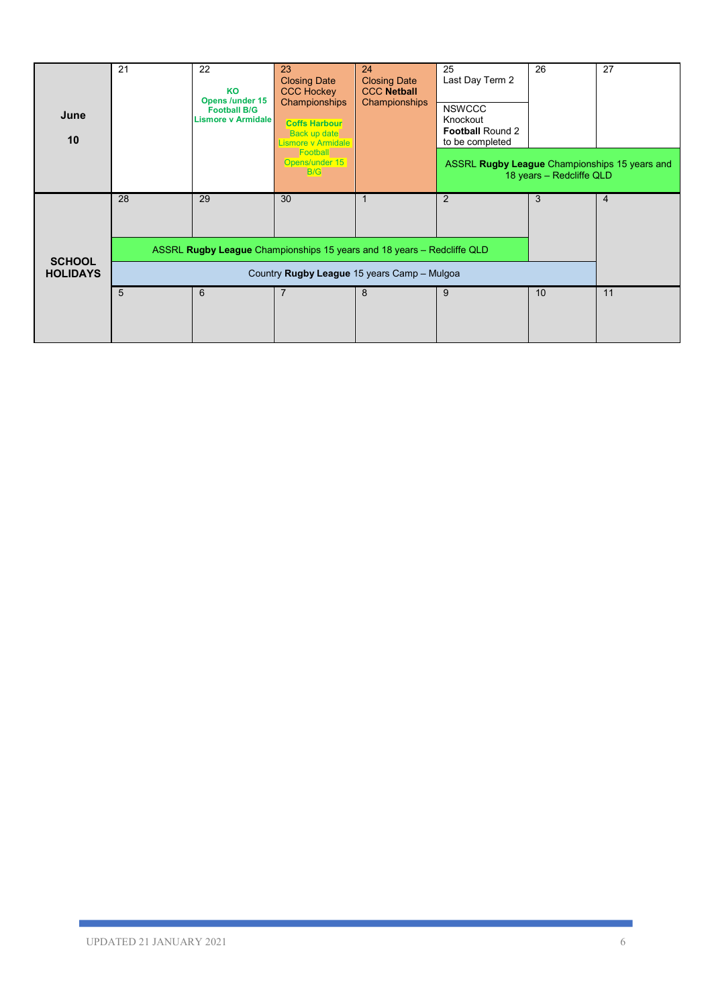| June<br>10      | 21                                          | 22<br>KO<br><b>Opens /under 15</b><br><b>Football B/G</b><br><b>Lismore v Armidale</b> | 23<br><b>Closing Date</b><br><b>CCC Hockey</b><br>Championships<br><b>Coffs Harbour</b><br><b>Back up date</b><br>Lismore v Armidale | 24<br><b>Closing Date</b><br><b>CCC Netball</b><br>Championships | 25<br>Last Day Term 2<br><b>NSWCCC</b><br>Knockout<br><b>Football Round 2</b><br>to be completed | 26                       | 27             |
|-----------------|---------------------------------------------|----------------------------------------------------------------------------------------|--------------------------------------------------------------------------------------------------------------------------------------|------------------------------------------------------------------|--------------------------------------------------------------------------------------------------|--------------------------|----------------|
|                 |                                             |                                                                                        | Football<br>Opens/under 15<br>B/G                                                                                                    |                                                                  | ASSRL Rugby League Championships 15 years and                                                    | 18 years - Redcliffe QLD |                |
|                 | 28                                          | 29                                                                                     | 30                                                                                                                                   |                                                                  | 2                                                                                                | 3                        | $\overline{4}$ |
| <b>SCHOOL</b>   |                                             | ASSRL Rugby League Championships 15 years and 18 years – Redcliffe QLD                 |                                                                                                                                      |                                                                  |                                                                                                  |                          |                |
| <b>HOLIDAYS</b> | Country Rugby League 15 years Camp - Mulgoa |                                                                                        |                                                                                                                                      |                                                                  |                                                                                                  |                          |                |
|                 | 5                                           | 6                                                                                      | 7                                                                                                                                    | 8                                                                | 9                                                                                                | 10                       | 11             |
|                 |                                             |                                                                                        |                                                                                                                                      |                                                                  |                                                                                                  |                          |                |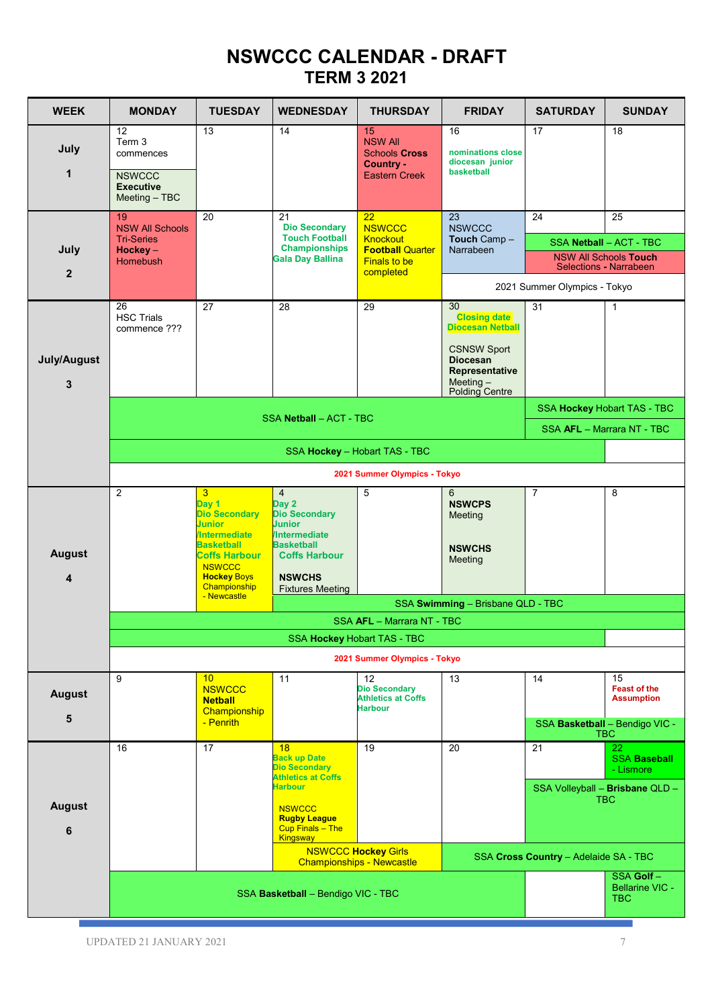## **NSWCCC CALENDAR - DRAFT TERM 3 2021**

| <b>WEEK</b>                              | <b>MONDAY</b>                                                                                                                                                                                | <b>TUESDAY</b>                                                                                                                                                                 | <b>WEDNESDAY</b>                                                                                                                                                                 | <b>THURSDAY</b>                                                                                       | <b>FRIDAY</b>                                                                            | <b>SATURDAY</b>              | <b>SUNDAY</b>                                                                                  |  |  |  |
|------------------------------------------|----------------------------------------------------------------------------------------------------------------------------------------------------------------------------------------------|--------------------------------------------------------------------------------------------------------------------------------------------------------------------------------|----------------------------------------------------------------------------------------------------------------------------------------------------------------------------------|-------------------------------------------------------------------------------------------------------|------------------------------------------------------------------------------------------|------------------------------|------------------------------------------------------------------------------------------------|--|--|--|
| July<br>1                                | 12<br>Term 3<br>commences<br><b>NSWCCC</b><br><b>Executive</b><br>Meeting - TBC                                                                                                              | 13                                                                                                                                                                             | 14                                                                                                                                                                               | 15<br><b>NSW All</b><br><b>Schools Cross</b><br>Country -<br><b>Eastern Creek</b>                     | 16<br>nominations close<br>diocesan junior<br>basketball                                 | 17                           | 18                                                                                             |  |  |  |
| July<br>$\overline{2}$                   | 19<br><b>NSW All Schools</b><br><b>Tri-Series</b><br>$Hockev-$<br>Homebush                                                                                                                   | 20                                                                                                                                                                             | 21<br><b>Dio Secondary</b><br><b>Touch Football</b><br><b>Championships</b><br><b>Gala Day Ballina</b>                                                                           | 22<br><b>NSWCCC</b><br><b>Knockout</b><br><b>Football Quarter</b><br><b>Finals to be</b><br>completed | 23<br><b>NSWCCC</b><br>Touch Camp-<br>Narrabeen                                          | 24                           | 25<br>SSA Netball - ACT - TBC<br><b>NSW All Schools Touch</b><br><b>Selections - Narrabeen</b> |  |  |  |
|                                          |                                                                                                                                                                                              |                                                                                                                                                                                |                                                                                                                                                                                  |                                                                                                       |                                                                                          | 2021 Summer Olympics - Tokyo |                                                                                                |  |  |  |
|                                          | 26<br><b>HSC Trials</b><br>commence ???                                                                                                                                                      | 27                                                                                                                                                                             | 28                                                                                                                                                                               | 29                                                                                                    | 30<br><b>Closing date</b><br><b>Diocesan Netball</b>                                     | 31                           | 1                                                                                              |  |  |  |
| July/August<br>3                         |                                                                                                                                                                                              |                                                                                                                                                                                |                                                                                                                                                                                  |                                                                                                       | <b>CSNSW Sport</b><br><b>Diocesan</b><br>Representative<br>Meeting $-$<br>Polding Centre |                              |                                                                                                |  |  |  |
|                                          |                                                                                                                                                                                              |                                                                                                                                                                                |                                                                                                                                                                                  |                                                                                                       |                                                                                          |                              | SSA Hockey Hobart TAS - TBC                                                                    |  |  |  |
|                                          |                                                                                                                                                                                              | SSA Netball - ACT - TBC<br>SSA AFL - Marrara NT - TBC                                                                                                                          |                                                                                                                                                                                  |                                                                                                       |                                                                                          |                              |                                                                                                |  |  |  |
|                                          | SSA Hockey - Hobart TAS - TBC                                                                                                                                                                |                                                                                                                                                                                |                                                                                                                                                                                  |                                                                                                       |                                                                                          |                              |                                                                                                |  |  |  |
|                                          | 2021 Summer Olympics - Tokyo                                                                                                                                                                 |                                                                                                                                                                                |                                                                                                                                                                                  |                                                                                                       |                                                                                          |                              |                                                                                                |  |  |  |
| <b>August</b><br>$\overline{\mathbf{4}}$ | $\overline{2}$                                                                                                                                                                               | 3<br>Day 1<br><b>Dio Secondary</b><br><b>Junior</b><br><b>Intermediate</b><br><b>Basketball</b><br><b>Coffs Harbour</b><br><b>NSWCCC</b><br><b>Hockey Boys</b><br>Championship | $\overline{4}$<br>Day 2<br><b>Dio Secondary</b><br><b>Junior</b><br><b>Intermediate</b><br><b>Basketball</b><br><b>Coffs Harbour</b><br><b>NSWCHS</b><br><b>Fixtures Meeting</b> | 5                                                                                                     | 6<br><b>NSWCPS</b><br>Meeting<br><b>NSWCHS</b><br>Meeting                                | $\overline{7}$               | 8                                                                                              |  |  |  |
|                                          |                                                                                                                                                                                              | - Newcastle                                                                                                                                                                    |                                                                                                                                                                                  |                                                                                                       | SSA Swimming - Brisbane QLD - TBC                                                        |                              |                                                                                                |  |  |  |
|                                          |                                                                                                                                                                                              |                                                                                                                                                                                |                                                                                                                                                                                  | SSA AFL - Marrara NT - TBC                                                                            |                                                                                          |                              |                                                                                                |  |  |  |
|                                          |                                                                                                                                                                                              |                                                                                                                                                                                | SSA Hockey Hobart TAS - TBC                                                                                                                                                      |                                                                                                       |                                                                                          |                              |                                                                                                |  |  |  |
|                                          | 9                                                                                                                                                                                            | 10                                                                                                                                                                             | 11                                                                                                                                                                               | 2021 Summer Olympics - Tokyo<br>$12 \overline{ }$                                                     | 13                                                                                       | 14                           | 15                                                                                             |  |  |  |
| <b>August</b><br>5                       |                                                                                                                                                                                              | <b>NSWCCC</b><br><b>Netball</b><br>Championship                                                                                                                                |                                                                                                                                                                                  | <b>Dio Secondary</b><br><b>Athletics at Coffs</b><br><b>Harbour</b>                                   |                                                                                          |                              | <b>Feast of the</b><br><b>Assumption</b>                                                       |  |  |  |
|                                          |                                                                                                                                                                                              | - Penrith                                                                                                                                                                      |                                                                                                                                                                                  |                                                                                                       |                                                                                          |                              | SSA Basketball - Bendigo VIC -<br>TBC                                                          |  |  |  |
| <b>August</b><br>6                       | 16                                                                                                                                                                                           | 17                                                                                                                                                                             | 18<br><b>Back up Date</b><br><b>Dio Secondary</b><br><b>Athletics at Coffs</b><br><b>Harbour</b><br><b>NSWCCC</b><br><b>Rugby League</b><br>Cup Finals - The                     | 19                                                                                                    | 20                                                                                       | 21                           | 22<br><b>SSA Baseball</b><br>- Lismore<br>SSA Volleyball - Brisbane QLD -<br><b>TBC</b>        |  |  |  |
|                                          |                                                                                                                                                                                              |                                                                                                                                                                                | <b>Kingsway</b>                                                                                                                                                                  |                                                                                                       |                                                                                          |                              |                                                                                                |  |  |  |
|                                          | <b>NSWCCC Hockey Girls</b><br>SSA Cross Country - Adelaide SA - TBC<br><b>Championships - Newcastle</b><br>SSA Golf-<br><b>Bellarine VIC -</b><br>SSA Basketball - Bendigo VIC - TBC<br>TBC. |                                                                                                                                                                                |                                                                                                                                                                                  |                                                                                                       |                                                                                          |                              |                                                                                                |  |  |  |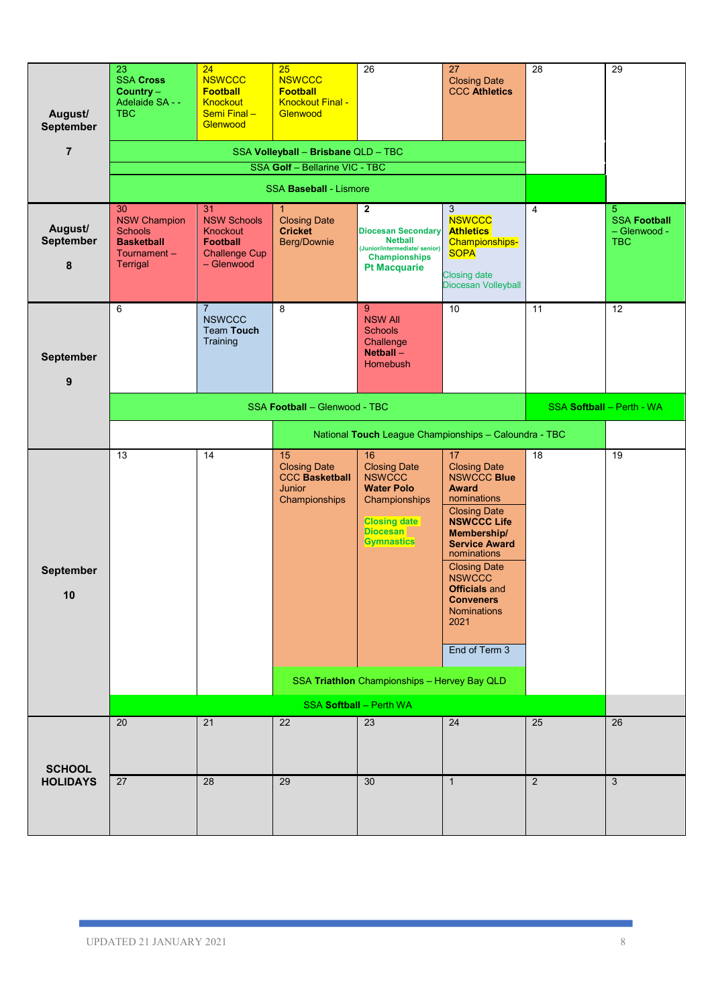| August/<br><b>September</b>      | 23<br><b>SSA Cross</b><br>Country $-$<br>Adelaide SA - -<br><b>TBC</b>                             | 24<br><b>NSWCCC</b><br><b>Football</b><br>Knockout<br>Semi Final-<br>Glenwood                 | 25<br><b>NSWCCC</b><br><b>Football</b><br><b>Knockout Final -</b><br>Glenwood        | 26                                                                                                                                                                                              | 27<br><b>Closing Date</b><br><b>CCC Athletics</b>                                                                                                                                                                                                                                                             | 28             | 29                                                     |
|----------------------------------|----------------------------------------------------------------------------------------------------|-----------------------------------------------------------------------------------------------|--------------------------------------------------------------------------------------|-------------------------------------------------------------------------------------------------------------------------------------------------------------------------------------------------|---------------------------------------------------------------------------------------------------------------------------------------------------------------------------------------------------------------------------------------------------------------------------------------------------------------|----------------|--------------------------------------------------------|
| $\overline{7}$                   |                                                                                                    |                                                                                               | SSA Volleyball - Brisbane QLD - TBC                                                  |                                                                                                                                                                                                 |                                                                                                                                                                                                                                                                                                               |                |                                                        |
|                                  |                                                                                                    |                                                                                               | SSA Golf - Bellarine VIC - TBC                                                       |                                                                                                                                                                                                 |                                                                                                                                                                                                                                                                                                               |                |                                                        |
|                                  |                                                                                                    |                                                                                               | <b>SSA Baseball - Lismore</b>                                                        |                                                                                                                                                                                                 |                                                                                                                                                                                                                                                                                                               |                |                                                        |
| August/<br><b>September</b><br>8 | 30<br><b>NSW Champion</b><br><b>Schools</b><br><b>Basketball</b><br>Tournament-<br><b>Terrigal</b> | 31<br><b>NSW Schools</b><br>Knockout<br><b>Football</b><br><b>Challenge Cup</b><br>- Glenwood | 1.<br><b>Closing Date</b><br><b>Cricket</b><br><b>Berg/Downie</b>                    | $\overline{2}$<br><b>Diocesan Secondary</b><br><b>Netball</b><br>(Junior/intermediate/ senior)<br><b>Championships</b><br><b>Pt Macquarie</b>                                                   | 3<br><b>NSWCCC</b><br><b>Athletics</b><br><b>Championships-</b><br><b>SOPA</b><br><b>Closing date</b><br>Diocesan Volleyball                                                                                                                                                                                  | $\overline{4}$ | 5<br><b>SSA Football</b><br>- Glenwood -<br><b>TBC</b> |
| <b>September</b><br>9            | 6                                                                                                  | $\overline{7}$<br><b>NSWCCC</b><br><b>Team Touch</b><br>Training                              | 8                                                                                    | 9<br><b>NSW All</b><br><b>Schools</b><br>Challenge<br>Netball -<br><b>Homebush</b>                                                                                                              | 10                                                                                                                                                                                                                                                                                                            | 11             | $\overline{12}$                                        |
|                                  |                                                                                                    | SSA Football - Glenwood - TBC                                                                 |                                                                                      | SSA Softball - Perth - WA                                                                                                                                                                       |                                                                                                                                                                                                                                                                                                               |                |                                                        |
|                                  |                                                                                                    |                                                                                               |                                                                                      | National Touch League Championships - Caloundra - TBC                                                                                                                                           |                                                                                                                                                                                                                                                                                                               |                |                                                        |
| <b>September</b><br>10           | 13                                                                                                 | 14                                                                                            | 15<br><b>Closing Date</b><br><b>CCC Basketball</b><br><b>Junior</b><br>Championships | 16<br><b>Closing Date</b><br><b>NSWCCC</b><br><b>Water Polo</b><br>Championships<br><b>Closing date</b><br><b>Diocesan</b><br><b>Gymnastics</b><br>SSA Triathlon Championships - Hervey Bay QLD | 17<br><b>Closing Date</b><br><b>NSWCCC Blue</b><br><b>Award</b><br>nominations<br><b>Closing Date</b><br><b>NSWCCC Life</b><br>Membership/<br><b>Service Award</b><br>nominations<br><b>Closing Date</b><br><b>NSWCCC</b><br><b>Officials</b> and<br><b>Conveners</b><br>Nominations<br>2021<br>End of Term 3 | 18             | 19                                                     |
|                                  |                                                                                                    |                                                                                               |                                                                                      | <b>SSA Softball - Perth WA</b>                                                                                                                                                                  |                                                                                                                                                                                                                                                                                                               |                |                                                        |
| <b>SCHOOL</b>                    | 20                                                                                                 | 21                                                                                            | 22                                                                                   | 23                                                                                                                                                                                              | $\overline{24}$                                                                                                                                                                                                                                                                                               | 25             | 26                                                     |
| <b>HOLIDAYS</b>                  | 27                                                                                                 | 28                                                                                            | 29                                                                                   | 30                                                                                                                                                                                              | $\mathbf{1}$                                                                                                                                                                                                                                                                                                  | 2              | 3                                                      |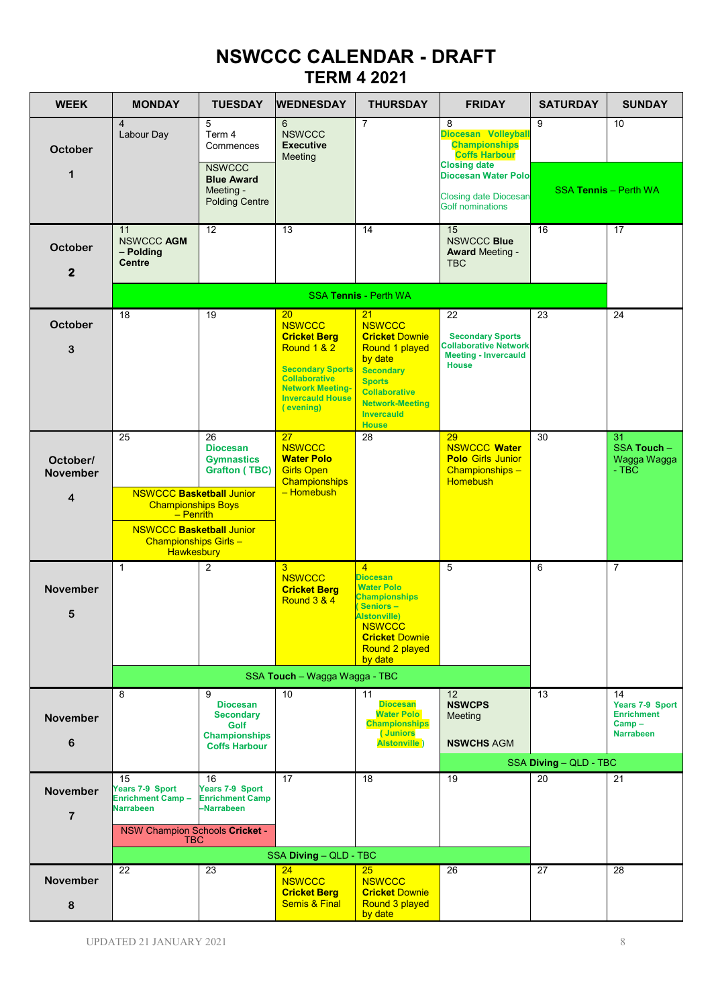## **NSWCCC CALENDAR - DRAFT TERM 4 2021**

| <b>WEEK</b>                                            | <b>MONDAY</b>                                                                                                                                               | <b>TUESDAY</b>                                                                                       | <b>WEDNESDAY</b>                                                                                                                                                                             | <b>THURSDAY</b>                                                                                                                                                                                       | <b>FRIDAY</b>                                                                                                                                                                            | <b>SATURDAY</b>              | <b>SUNDAY</b>                                                              |
|--------------------------------------------------------|-------------------------------------------------------------------------------------------------------------------------------------------------------------|------------------------------------------------------------------------------------------------------|----------------------------------------------------------------------------------------------------------------------------------------------------------------------------------------------|-------------------------------------------------------------------------------------------------------------------------------------------------------------------------------------------------------|------------------------------------------------------------------------------------------------------------------------------------------------------------------------------------------|------------------------------|----------------------------------------------------------------------------|
| <b>October</b><br>$\mathbf 1$                          | $\overline{4}$<br>Labour Day                                                                                                                                | 5<br>Term 4<br>Commences<br><b>NSWCCC</b><br><b>Blue Award</b><br>Meeting -<br><b>Polding Centre</b> | 6<br><b>NSWCCC</b><br><b>Executive</b><br>Meeting                                                                                                                                            | 7                                                                                                                                                                                                     | 8<br>Diocesan Volleyball<br><b>Championships</b><br><b>Coffs Harbour</b><br><b>Closing date</b><br><b>Diocesan Water Polo</b><br><b>Closing date Diocesan</b><br><b>Golf nominations</b> | 9                            | 10<br><b>SSA Tennis - Perth WA</b>                                         |
| <b>October</b><br>$\mathbf{2}$                         | 11<br>NSWCCC AGM<br>- Polding<br><b>Centre</b>                                                                                                              | $12 \overline{ }$                                                                                    | 13                                                                                                                                                                                           | 14                                                                                                                                                                                                    | 15<br><b>NSWCCC Blue</b><br><b>Award Meeting -</b><br><b>TBC</b>                                                                                                                         | 16                           | 17                                                                         |
|                                                        |                                                                                                                                                             |                                                                                                      |                                                                                                                                                                                              | <b>SSA Tennis - Perth WA</b>                                                                                                                                                                          |                                                                                                                                                                                          |                              |                                                                            |
| October<br>3                                           | 18                                                                                                                                                          | 19                                                                                                   | 20 <sub>2</sub><br><b>NSWCCC</b><br><b>Cricket Berg</b><br>Round 1 & 2<br><b>Secondary Sports</b><br><b>Collaborative</b><br><b>Network Meeting-</b><br><b>Invercauld House</b><br>(evening) | 21<br><b>NSWCCC</b><br><b>Cricket Downie</b><br>Round 1 played<br>by date<br><b>Secondary</b><br><b>Sports</b><br><b>Collaborative</b><br><b>Network-Meeting</b><br><b>Invercauld</b><br><b>House</b> | 22<br><b>Secondary Sports</b><br><b>Collaborative Network</b><br><b>Meeting - Invercauld</b><br><b>House</b>                                                                             | 23                           | 24                                                                         |
| October/<br><b>November</b><br>$\overline{\mathbf{4}}$ | 25<br><b>NSWCCC Basketball Junior</b><br><b>Championships Boys</b><br>$-$ Penrith<br><b>NSWCCC Basketball Junior</b><br>Championships Girls -<br>Hawkesbury | 26<br><b>Diocesan</b><br><b>Gymnastics</b><br><b>Grafton (TBC)</b>                                   | 27<br><b>NSWCCC</b><br><b>Water Polo</b><br><b>Girls Open</b><br>Championships<br>- Homebush                                                                                                 | 28                                                                                                                                                                                                    | 29<br><b>NSWCCC Water</b><br><b>Polo Girls Junior</b><br>Championships -<br><b>Homebush</b>                                                                                              | 30                           | 31<br>SSA Touch -<br>Wagga Wagga<br>$-$ TBC                                |
| <b>November</b><br>5                                   | $\mathbf{1}$                                                                                                                                                | $\overline{2}$                                                                                       | 3<br><b>NSWCCC</b><br><b>Cricket Berg</b><br><b>Round 3 &amp; 4</b>                                                                                                                          | $\overline{4}$<br><b>Diocesan</b><br><b>Water Polo</b><br><b>Championships</b><br>Seniors-<br><b>Alstonville)</b><br><b>NSWCCC</b><br><b>Cricket Downie</b><br>Round 2 played<br>by date              | 5                                                                                                                                                                                        | 6                            | $\overline{7}$                                                             |
|                                                        |                                                                                                                                                             |                                                                                                      | SSA Touch - Wagga Wagga - TBC                                                                                                                                                                |                                                                                                                                                                                                       |                                                                                                                                                                                          |                              |                                                                            |
| <b>November</b><br>6                                   | 8                                                                                                                                                           | 9<br><b>Diocesan</b><br><b>Secondary</b><br>Golf<br><b>Championships</b><br><b>Coffs Harbour</b>     | 10                                                                                                                                                                                           | 11<br><b>Diocesan</b><br><b>Water Polo</b><br><b>Championships</b><br>(Juniors<br><b>Alstonville</b> )                                                                                                | 12<br><b>NSWCPS</b><br>Meeting<br><b>NSWCHS AGM</b>                                                                                                                                      | 13<br>SSA Diving - QLD - TBC | 14<br>Years 7-9 Sport<br><b>Enrichment</b><br>$Camp -$<br><b>Narrabeen</b> |
|                                                        | 15                                                                                                                                                          | 16                                                                                                   | 17                                                                                                                                                                                           | 18                                                                                                                                                                                                    | 19                                                                                                                                                                                       | 20                           | 21                                                                         |
| <b>November</b><br>$\overline{7}$                      | Years 7-9 Sport<br><b>Enrichment Camp-</b><br><b>Narrabeen</b><br>NSW Champion Schools Cricket -<br><b>TBC</b>                                              | Years 7-9 Sport<br><b>Enrichment Camp</b><br>-Narrabeen                                              |                                                                                                                                                                                              |                                                                                                                                                                                                       |                                                                                                                                                                                          |                              |                                                                            |
|                                                        |                                                                                                                                                             |                                                                                                      | SSA Diving - QLD - TBC                                                                                                                                                                       |                                                                                                                                                                                                       |                                                                                                                                                                                          |                              |                                                                            |
| <b>November</b><br>8                                   | 22                                                                                                                                                          | 23                                                                                                   | 24<br><b>NSWCCC</b><br><b>Cricket Berg</b><br><b>Semis &amp; Final</b>                                                                                                                       | 25<br><b>NSWCCC</b><br><b>Cricket Downie</b><br>Round 3 played<br>by date                                                                                                                             | 26                                                                                                                                                                                       | 27                           | 28                                                                         |